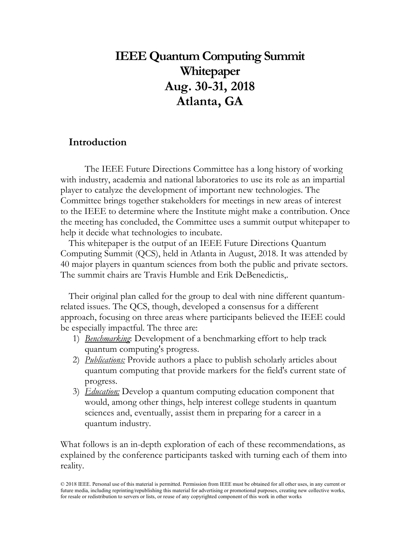# **IEEE Quantum Computing Summit Whitepaper Aug. 30-31, 2018 Atlanta, GA**

## **Introduction**

The IEEE Future Directions Committee has a long history of working with industry, academia and national laboratories to use its role as an impartial player to catalyze the development of important new technologies. The Committee brings together stakeholders for meetings in new areas of interest to the IEEE to determine where the Institute might make a contribution. Once the meeting has concluded, the Committee uses a summit output whitepaper to help it decide what technologies to incubate.

This whitepaper is the output of an IEEE Future Directions Quantum Computing Summit (QCS), held in Atlanta in August, 2018. It was attended by 40 major players in quantum sciences from both the public and private sectors. The summit chairs are Travis Humble and Erik DeBenedictis,.

Their original plan called for the group to deal with nine different quantumrelated issues. The QCS, though, developed a consensus for a different approach, focusing on three areas where participants believed the IEEE could be especially impactful. The three are:

- 1) *Benchmarking*: Development of a benchmarking effort to help track quantum computing's progress.
- 2) *Publications:* Provide authors a place to publish scholarly articles about quantum computing that provide markers for the field's current state of progress.
- 3) *Education:* Develop a quantum computing education component that would, among other things, help interest college students in quantum sciences and, eventually, assist them in preparing for a career in a quantum industry.

What follows is an in-depth exploration of each of these recommendations, as explained by the conference participants tasked with turning each of them into reality.

© 2018 IEEE. Personal use of this material is permitted. Permission from IEEE must be obtained for all other uses, in any current or future media, including reprinting/republishing this material for advertising or promotional purposes, creating new collective works, for resale or redistribution to servers or lists, or reuse of any copyrighted component of this work in other works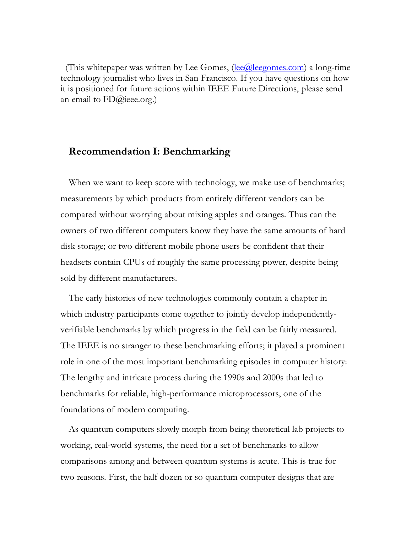(This whitepaper was written by Lee Gomes,  $(\text{lee@}$ leegomes.com) a long-time technology journalist who lives in San Francisco. If you have questions on how it is positioned for future actions within IEEE Future Directions, please send an email to FD@ieee.org.)

### **Recommendation I: Benchmarking**

When we want to keep score with technology, we make use of benchmarks; measurements by which products from entirely different vendors can be compared without worrying about mixing apples and oranges. Thus can the owners of two different computers know they have the same amounts of hard disk storage; or two different mobile phone users be confident that their headsets contain CPUs of roughly the same processing power, despite being sold by different manufacturers.

The early histories of new technologies commonly contain a chapter in which industry participants come together to jointly develop independentlyverifiable benchmarks by which progress in the field can be fairly measured. The IEEE is no stranger to these benchmarking efforts; it played a prominent role in one of the most important benchmarking episodes in computer history: The lengthy and intricate process during the 1990s and 2000s that led to benchmarks for reliable, high-performance microprocessors, one of the foundations of modern computing.

As quantum computers slowly morph from being theoretical lab projects to working, real-world systems, the need for a set of benchmarks to allow comparisons among and between quantum systems is acute. This is true for two reasons. First, the half dozen or so quantum computer designs that are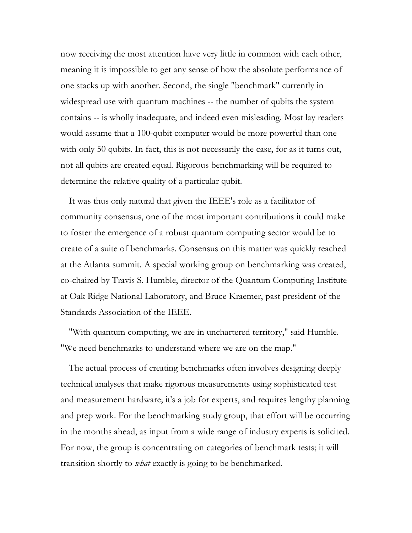now receiving the most attention have very little in common with each other, meaning it is impossible to get any sense of how the absolute performance of one stacks up with another. Second, the single "benchmark" currently in widespread use with quantum machines -- the number of qubits the system contains -- is wholly inadequate, and indeed even misleading. Most lay readers would assume that a 100-qubit computer would be more powerful than one with only 50 qubits. In fact, this is not necessarily the case, for as it turns out, not all qubits are created equal. Rigorous benchmarking will be required to determine the relative quality of a particular qubit.

It was thus only natural that given the IEEE's role as a facilitator of community consensus, one of the most important contributions it could make to foster the emergence of a robust quantum computing sector would be to create of a suite of benchmarks. Consensus on this matter was quickly reached at the Atlanta summit. A special working group on benchmarking was created, co-chaired by Travis S. Humble, director of the Quantum Computing Institute at Oak Ridge National Laboratory, and Bruce Kraemer, past president of the Standards Association of the IEEE.

"With quantum computing, we are in unchartered territory," said Humble. "We need benchmarks to understand where we are on the map."

The actual process of creating benchmarks often involves designing deeply technical analyses that make rigorous measurements using sophisticated test and measurement hardware; it's a job for experts, and requires lengthy planning and prep work. For the benchmarking study group, that effort will be occurring in the months ahead, as input from a wide range of industry experts is solicited. For now, the group is concentrating on categories of benchmark tests; it will transition shortly to *what* exactly is going to be benchmarked.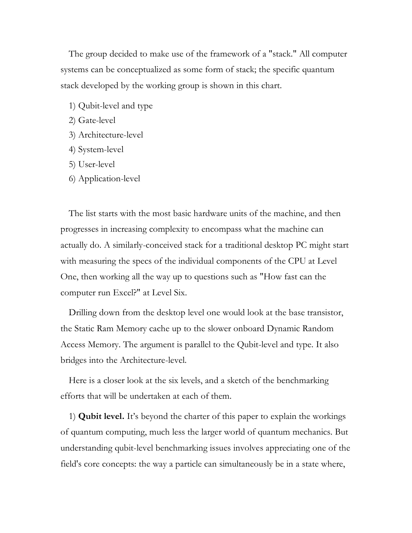The group decided to make use of the framework of a "stack." All computer systems can be conceptualized as some form of stack; the specific quantum stack developed by the working group is shown in this chart.

- 1) Qubit-level and type
- 2) Gate-level
- 3) Architecture-level
- 4) System-level
- 5) User-level
- 6) Application-level

The list starts with the most basic hardware units of the machine, and then progresses in increasing complexity to encompass what the machine can actually do. A similarly-conceived stack for a traditional desktop PC might start with measuring the specs of the individual components of the CPU at Level One, then working all the way up to questions such as "How fast can the computer run Excel?" at Level Six.

Drilling down from the desktop level one would look at the base transistor, the Static Ram Memory cache up to the slower onboard Dynamic Random Access Memory. The argument is parallel to the Qubit-level and type. It also bridges into the Architecture-level.

Here is a closer look at the six levels, and a sketch of the benchmarking efforts that will be undertaken at each of them.

1) **Qubit level.** It's beyond the charter of this paper to explain the workings of quantum computing, much less the larger world of quantum mechanics. But understanding qubit-level benchmarking issues involves appreciating one of the field's core concepts: the way a particle can simultaneously be in a state where,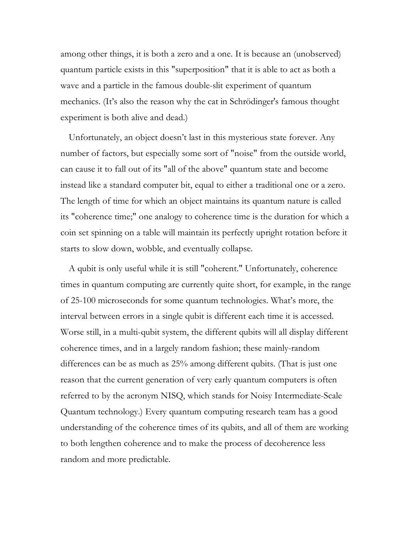among other things, it is both a zero and a one. It is because an (unobserved) quantum particle exists in this "superposition" that it is able to act as both a wave and a particle in the famous double-slit experiment of quantum mechanics. (It's also the reason why the cat in Schrödinger's famous thought experiment is both alive and dead.)

Unfortunately, an object doesn't last in this mysterious state forever. Any number of factors, but especially some sort of "noise" from the outside world, can cause it to fall out of its "all of the above" quantum state and become instead like a standard computer bit, equal to either a traditional one or a zero. The length of time for which an object maintains its quantum nature is called its "coherence time;" one analogy to coherence time is the duration for which a coin set spinning on a table will maintain its perfectly upright rotation before it starts to slow down, wobble, and eventually collapse.

A qubit is only useful while it is still "coherent." Unfortunately, coherence times in quantum computing are currently quite short, for example, in the range of 25-100 microseconds for some quantum technologies. What's more, the interval between errors in a single qubit is different each time it is accessed. Worse still, in a multi-qubit system, the different qubits will all display different coherence times, and in a largely random fashion; these mainly-random differences can be as much as 25% among different qubits. (That is just one reason that the current generation of very early quantum computers is often referred to by the acronym NISQ, which stands for Noisy Intermediate-Scale Quantum technology.) Every quantum computing research team has a good understanding of the coherence times of its qubits, and all of them are working to both lengthen coherence and to make the process of decoherence less random and more predictable.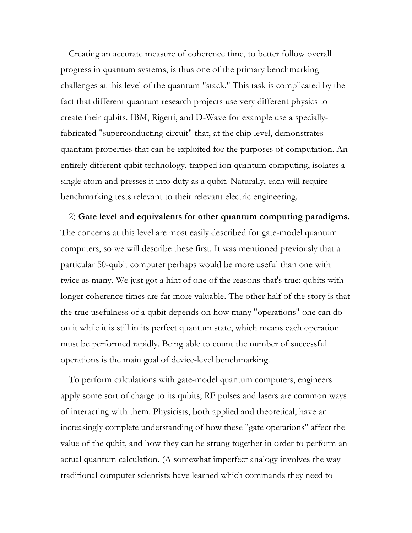Creating an accurate measure of coherence time, to better follow overall progress in quantum systems, is thus one of the primary benchmarking challenges at this level of the quantum "stack." This task is complicated by the fact that different quantum research projects use very different physics to create their qubits. IBM, Rigetti, and D-Wave for example use a speciallyfabricated "superconducting circuit" that, at the chip level, demonstrates quantum properties that can be exploited for the purposes of computation. An entirely different qubit technology, trapped ion quantum computing, isolates a single atom and presses it into duty as a qubit. Naturally, each will require benchmarking tests relevant to their relevant electric engineering.

2) **Gate level and equivalents for other quantum computing paradigms.** The concerns at this level are most easily described for gate-model quantum computers, so we will describe these first. It was mentioned previously that a particular 50-qubit computer perhaps would be more useful than one with twice as many. We just got a hint of one of the reasons that's true: qubits with longer coherence times are far more valuable. The other half of the story is that the true usefulness of a qubit depends on how many "operations" one can do on it while it is still in its perfect quantum state, which means each operation must be performed rapidly. Being able to count the number of successful operations is the main goal of device-level benchmarking.

To perform calculations with gate-model quantum computers, engineers apply some sort of charge to its qubits; RF pulses and lasers are common ways of interacting with them. Physicists, both applied and theoretical, have an increasingly complete understanding of how these "gate operations" affect the value of the qubit, and how they can be strung together in order to perform an actual quantum calculation. (A somewhat imperfect analogy involves the way traditional computer scientists have learned which commands they need to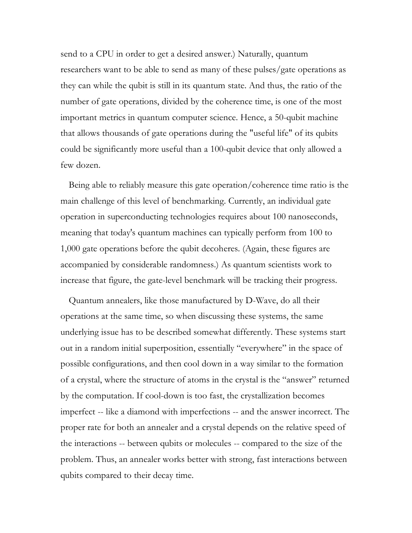send to a CPU in order to get a desired answer.) Naturally, quantum researchers want to be able to send as many of these pulses/gate operations as they can while the qubit is still in its quantum state. And thus, the ratio of the number of gate operations, divided by the coherence time, is one of the most important metrics in quantum computer science. Hence, a 50-qubit machine that allows thousands of gate operations during the "useful life" of its qubits could be significantly more useful than a 100-qubit device that only allowed a few dozen.

Being able to reliably measure this gate operation/coherence time ratio is the main challenge of this level of benchmarking. Currently, an individual gate operation in superconducting technologies requires about 100 nanoseconds, meaning that today's quantum machines can typically perform from 100 to 1,000 gate operations before the qubit decoheres. (Again, these figures are accompanied by considerable randomness.) As quantum scientists work to increase that figure, the gate-level benchmark will be tracking their progress.

Quantum annealers, like those manufactured by D-Wave, do all their operations at the same time, so when discussing these systems, the same underlying issue has to be described somewhat differently. These systems start out in a random initial superposition, essentially "everywhere" in the space of possible configurations, and then cool down in a way similar to the formation of a crystal, where the structure of atoms in the crystal is the "answer" returned by the computation. If cool-down is too fast, the crystallization becomes imperfect -- like a diamond with imperfections -- and the answer incorrect. The proper rate for both an annealer and a crystal depends on the relative speed of the interactions -- between qubits or molecules -- compared to the size of the problem. Thus, an annealer works better with strong, fast interactions between qubits compared to their decay time.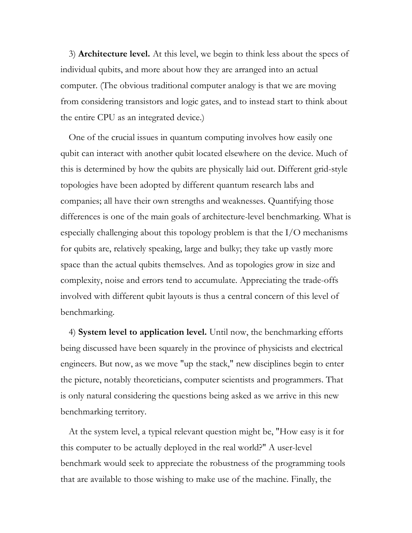3) **Architecture level.** At this level, we begin to think less about the specs of individual qubits, and more about how they are arranged into an actual computer. (The obvious traditional computer analogy is that we are moving from considering transistors and logic gates, and to instead start to think about the entire CPU as an integrated device.)

One of the crucial issues in quantum computing involves how easily one qubit can interact with another qubit located elsewhere on the device. Much of this is determined by how the qubits are physically laid out. Different grid-style topologies have been adopted by different quantum research labs and companies; all have their own strengths and weaknesses. Quantifying those differences is one of the main goals of architecture-level benchmarking. What is especially challenging about this topology problem is that the I/O mechanisms for qubits are, relatively speaking, large and bulky; they take up vastly more space than the actual qubits themselves. And as topologies grow in size and complexity, noise and errors tend to accumulate. Appreciating the trade-offs involved with different qubit layouts is thus a central concern of this level of benchmarking.

4) **System level to application level.** Until now, the benchmarking efforts being discussed have been squarely in the province of physicists and electrical engineers. But now, as we move "up the stack," new disciplines begin to enter the picture, notably theoreticians, computer scientists and programmers. That is only natural considering the questions being asked as we arrive in this new benchmarking territory.

At the system level, a typical relevant question might be, "How easy is it for this computer to be actually deployed in the real world?" A user-level benchmark would seek to appreciate the robustness of the programming tools that are available to those wishing to make use of the machine. Finally, the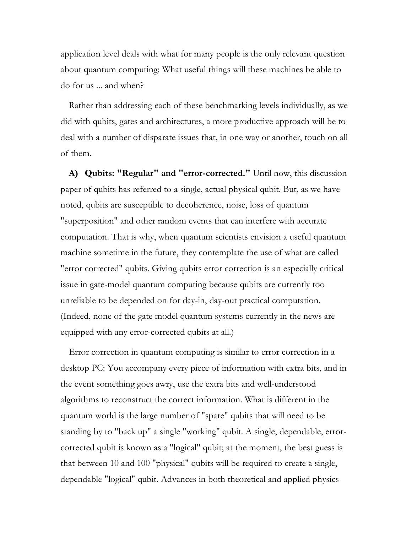application level deals with what for many people is the only relevant question about quantum computing: What useful things will these machines be able to do for us ... and when?

Rather than addressing each of these benchmarking levels individually, as we did with qubits, gates and architectures, a more productive approach will be to deal with a number of disparate issues that, in one way or another, touch on all of them.

**A) Qubits: "Regular" and "error-corrected."** Until now, this discussion paper of qubits has referred to a single, actual physical qubit. But, as we have noted, qubits are susceptible to decoherence, noise, loss of quantum "superposition" and other random events that can interfere with accurate computation. That is why, when quantum scientists envision a useful quantum machine sometime in the future, they contemplate the use of what are called "error corrected" qubits. Giving qubits error correction is an especially critical issue in gate-model quantum computing because qubits are currently too unreliable to be depended on for day-in, day-out practical computation. (Indeed, none of the gate model quantum systems currently in the news are equipped with any error-corrected qubits at all.)

Error correction in quantum computing is similar to error correction in a desktop PC: You accompany every piece of information with extra bits, and in the event something goes awry, use the extra bits and well-understood algorithms to reconstruct the correct information. What is different in the quantum world is the large number of "spare" qubits that will need to be standing by to "back up" a single "working" qubit. A single, dependable, errorcorrected qubit is known as a "logical" qubit; at the moment, the best guess is that between 10 and 100 "physical" qubits will be required to create a single, dependable "logical" qubit. Advances in both theoretical and applied physics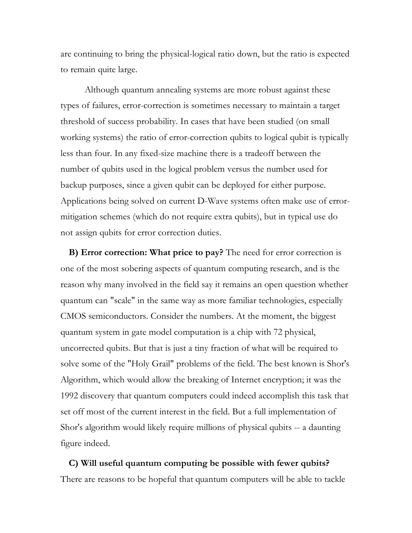are continuing to bring the physical-logical ratio down, but the ratio is expected to remain quite large.

Although quantum annealing systems are more robust against these types of failures, error-correction is sometimes necessary to maintain a target threshold of success probability. In cases that have been studied (on small working systems) the ratio of error-correction qubits to logical qubit is typically less than four. In any fixed-size machine there is a tradeoff between the number of qubits used in the logical problem versus the number used for backup purposes, since a given qubit can be deployed for either purpose. Applications being solved on current D-Wave systems often make use of errormitigation schemes (which do not require extra qubits), but in typical use do not assign qubits for error correction duties.

**B) Error correction: What price to pay?** The need for error correction is one of the most sobering aspects of quantum computing research, and is the reason why many involved in the field say it remains an open question whether quantum can "scale" in the same way as more familiar technologies, especially CMOS semiconductors. Consider the numbers. At the moment, the biggest quantum system in gate model computation is a chip with 72 physical, uncorrected qubits. But that is just a tiny fraction of what will be required to solve some of the "Holy Grail" problems of the field. The best known is Shor's Algorithm, which would allow the breaking of Internet encryption; it was the 1992 discovery that quantum computers could indeed accomplish this task that set off most of the current interest in the field. But a full implementation of Shor's algorithm would likely require millions of physical qubits -- a daunting figure indeed.

**C) Will useful quantum computing be possible with fewer qubits?**  There are reasons to be hopeful that quantum computers will be able to tackle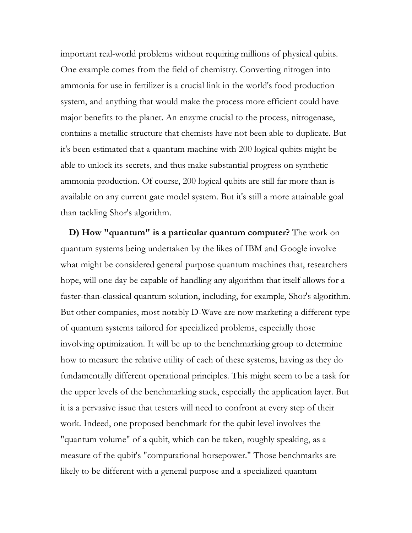important real-world problems without requiring millions of physical qubits. One example comes from the field of chemistry. Converting nitrogen into ammonia for use in fertilizer is a crucial link in the world's food production system, and anything that would make the process more efficient could have major benefits to the planet. An enzyme crucial to the process, nitrogenase, contains a metallic structure that chemists have not been able to duplicate. But it's been estimated that a quantum machine with 200 logical qubits might be able to unlock its secrets, and thus make substantial progress on synthetic ammonia production. Of course, 200 logical qubits are still far more than is available on any current gate model system. But it's still a more attainable goal than tackling Shor's algorithm.

**D) How "quantum" is a particular quantum computer?** The work on quantum systems being undertaken by the likes of IBM and Google involve what might be considered general purpose quantum machines that, researchers hope, will one day be capable of handling any algorithm that itself allows for a faster-than-classical quantum solution, including, for example, Shor's algorithm. But other companies, most notably D-Wave are now marketing a different type of quantum systems tailored for specialized problems, especially those involving optimization. It will be up to the benchmarking group to determine how to measure the relative utility of each of these systems, having as they do fundamentally different operational principles. This might seem to be a task for the upper levels of the benchmarking stack, especially the application layer. But it is a pervasive issue that testers will need to confront at every step of their work. Indeed, one proposed benchmark for the qubit level involves the "quantum volume" of a qubit, which can be taken, roughly speaking, as a measure of the qubit's "computational horsepower." Those benchmarks are likely to be different with a general purpose and a specialized quantum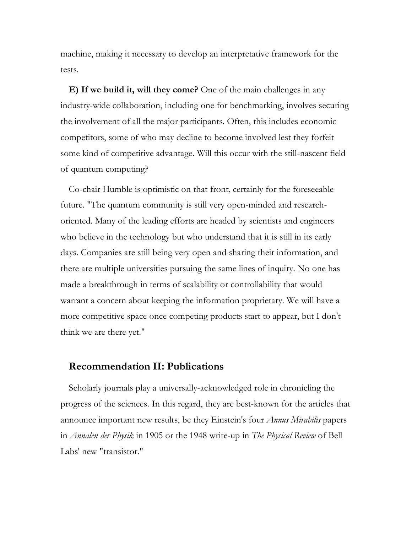machine, making it necessary to develop an interpretative framework for the tests.

**E) If we build it, will they come?** One of the main challenges in any industry-wide collaboration, including one for benchmarking, involves securing the involvement of all the major participants. Often, this includes economic competitors, some of who may decline to become involved lest they forfeit some kind of competitive advantage. Will this occur with the still-nascent field of quantum computing?

Co-chair Humble is optimistic on that front, certainly for the foreseeable future. "The quantum community is still very open-minded and researchoriented. Many of the leading efforts are headed by scientists and engineers who believe in the technology but who understand that it is still in its early days. Companies are still being very open and sharing their information, and there are multiple universities pursuing the same lines of inquiry. No one has made a breakthrough in terms of scalability or controllability that would warrant a concern about keeping the information proprietary. We will have a more competitive space once competing products start to appear, but I don't think we are there yet."

#### **Recommendation II: Publications**

Scholarly journals play a universally-acknowledged role in chronicling the progress of the sciences. In this regard, they are best-known for the articles that announce important new results, be they Einstein's four *Annus Mirabilis* papers in *Annalen der Physik* in 1905 or the 1948 write-up in *The Physical Review* of Bell Labs' new "transistor."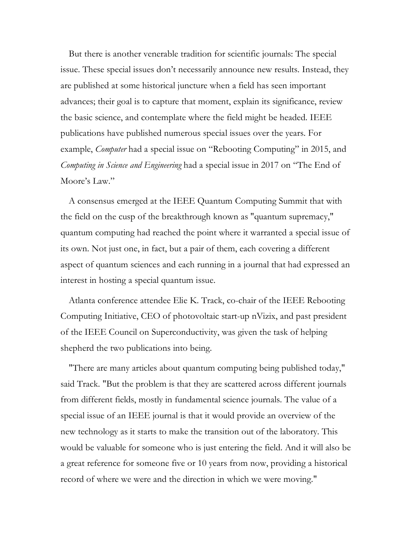But there is another venerable tradition for scientific journals: The special issue. These special issues don't necessarily announce new results. Instead, they are published at some historical juncture when a field has seen important advances; their goal is to capture that moment, explain its significance, review the basic science, and contemplate where the field might be headed. IEEE publications have published numerous special issues over the years. For example, *Computer* had a special issue on "Rebooting Computing" in 2015, and *Computing in Science and Engineering* had a special issue in 2017 on "The End of Moore's Law."

A consensus emerged at the IEEE Quantum Computing Summit that with the field on the cusp of the breakthrough known as "quantum supremacy," quantum computing had reached the point where it warranted a special issue of its own. Not just one, in fact, but a pair of them, each covering a different aspect of quantum sciences and each running in a journal that had expressed an interest in hosting a special quantum issue.

Atlanta conference attendee Elie K. Track, co-chair of the IEEE Rebooting Computing Initiative, CEO of photovoltaic start-up nVizix, and past president of the IEEE Council on Superconductivity, was given the task of helping shepherd the two publications into being.

"There are many articles about quantum computing being published today," said Track. "But the problem is that they are scattered across different journals from different fields, mostly in fundamental science journals. The value of a special issue of an IEEE journal is that it would provide an overview of the new technology as it starts to make the transition out of the laboratory. This would be valuable for someone who is just entering the field. And it will also be a great reference for someone five or 10 years from now, providing a historical record of where we were and the direction in which we were moving."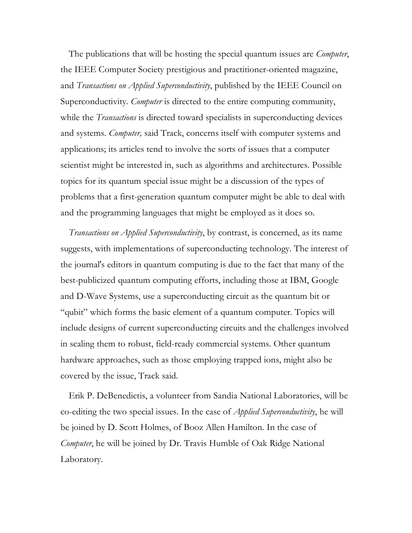The publications that will be hosting the special quantum issues are *Computer*, the IEEE Computer Society prestigious and practitioner-oriented magazine, and *Transactions on Applied Superconductivity*, published by the IEEE Council on Superconductivity. *Computer* is directed to the entire computing community, while the *Transactions* is directed toward specialists in superconducting devices and systems. *Computer,* said Track, concerns itself with computer systems and applications; its articles tend to involve the sorts of issues that a computer scientist might be interested in, such as algorithms and architectures. Possible topics for its quantum special issue might be a discussion of the types of problems that a first-generation quantum computer might be able to deal with and the programming languages that might be employed as it does so.

*Transactions on Applied Superconductivity*, by contrast, is concerned, as its name suggests, with implementations of superconducting technology. The interest of the journal's editors in quantum computing is due to the fact that many of the best-publicized quantum computing efforts, including those at IBM, Google and D-Wave Systems, use a superconducting circuit as the quantum bit or "qubit" which forms the basic element of a quantum computer. Topics will include designs of current superconducting circuits and the challenges involved in scaling them to robust, field-ready commercial systems. Other quantum hardware approaches, such as those employing trapped ions, might also be covered by the issue, Track said.

Erik P. DeBenedictis, a volunteer from Sandia National Laboratories, will be co-editing the two special issues. In the case of *Applied Superconductivity*, he will be joined by D. Scott Holmes, of Booz Allen Hamilton. In the case of *Computer*, he will be joined by Dr. Travis Humble of Oak Ridge National Laboratory.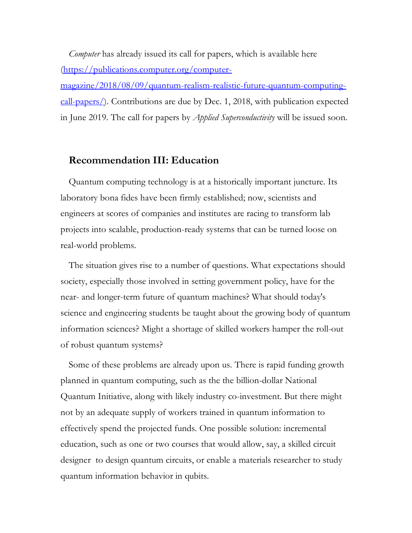*Computer* has already issued its call for papers, which is available here (https://publications.computer.org/computer-

magazine/2018/08/09/quantum-realism-realistic-future-quantum-computingcall-papers/). Contributions are due by Dec. 1, 2018, with publication expected in June 2019. The call for papers by *Applied Superconductivity* will be issued soon.

#### **Recommendation III: Education**

Quantum computing technology is at a historically important juncture. Its laboratory bona fides have been firmly established; now, scientists and engineers at scores of companies and institutes are racing to transform lab projects into scalable, production-ready systems that can be turned loose on real-world problems.

The situation gives rise to a number of questions. What expectations should society, especially those involved in setting government policy, have for the near- and longer-term future of quantum machines? What should today's science and engineering students be taught about the growing body of quantum information sciences? Might a shortage of skilled workers hamper the roll-out of robust quantum systems?

Some of these problems are already upon us. There is rapid funding growth planned in quantum computing, such as the the billion-dollar National Quantum Initiative, along with likely industry co-investment. But there might not by an adequate supply of workers trained in quantum information to effectively spend the projected funds. One possible solution: incremental education, such as one or two courses that would allow, say, a skilled circuit designer to design quantum circuits, or enable a materials researcher to study quantum information behavior in qubits.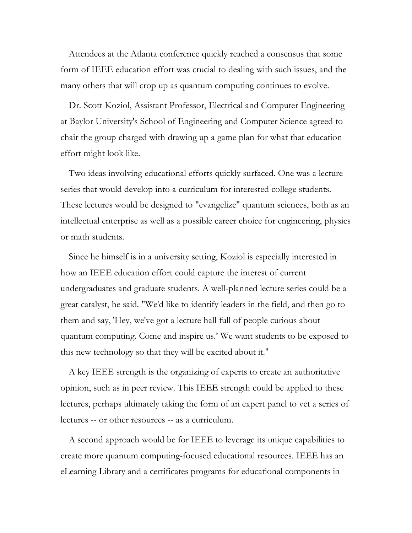Attendees at the Atlanta conference quickly reached a consensus that some form of IEEE education effort was crucial to dealing with such issues, and the many others that will crop up as quantum computing continues to evolve.

Dr. Scott Koziol, Assistant Professor, Electrical and Computer Engineering at Baylor University's School of Engineering and Computer Science agreed to chair the group charged with drawing up a game plan for what that education effort might look like.

Two ideas involving educational efforts quickly surfaced. One was a lecture series that would develop into a curriculum for interested college students. These lectures would be designed to "evangelize" quantum sciences, both as an intellectual enterprise as well as a possible career choice for engineering, physics or math students.

Since he himself is in a university setting, Koziol is especially interested in how an IEEE education effort could capture the interest of current undergraduates and graduate students. A well-planned lecture series could be a great catalyst, he said. "We'd like to identify leaders in the field, and then go to them and say, 'Hey, we've got a lecture hall full of people curious about quantum computing. Come and inspire us.' We want students to be exposed to this new technology so that they will be excited about it."

A key IEEE strength is the organizing of experts to create an authoritative opinion, such as in peer review. This IEEE strength could be applied to these lectures, perhaps ultimately taking the form of an expert panel to vet a series of lectures -- or other resources -- as a curriculum.

A second approach would be for IEEE to leverage its unique capabilities to create more quantum computing-focused educational resources. IEEE has an eLearning Library and a certificates programs for educational components in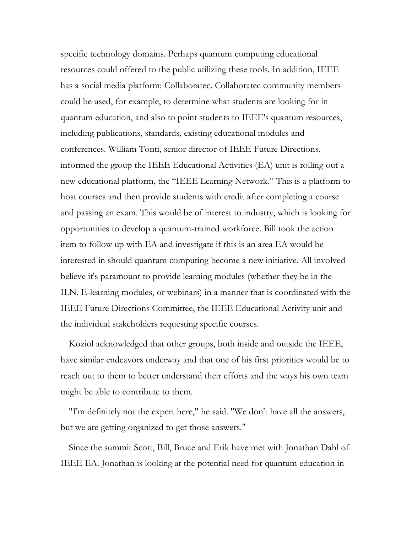specific technology domains. Perhaps quantum computing educational resources could offered to the public utilizing these tools. In addition, IEEE has a social media platform: Collaboratec. Collaboratec community members could be used, for example, to determine what students are looking for in quantum education, and also to point students to IEEE's quantum resources, including publications, standards, existing educational modules and conferences. William Tonti, senior director of IEEE Future Directions, informed the group the IEEE Educational Activities (EA) unit is rolling out a new educational platform, the "IEEE Learning Network." This is a platform to host courses and then provide students with credit after completing a course and passing an exam. This would be of interest to industry, which is looking for opportunities to develop a quantum-trained workforce. Bill took the action item to follow up with EA and investigate if this is an area EA would be interested in should quantum computing become a new initiative. All involved believe it's paramount to provide learning modules (whether they be in the ILN, E-learning modules, or webinars) in a manner that is coordinated with the IEEE Future Directions Committee, the IEEE Educational Activity unit and the individual stakeholders requesting specific courses.

Koziol acknowledged that other groups, both inside and outside the IEEE, have similar endeavors underway and that one of his first priorities would be to reach out to them to better understand their efforts and the ways his own team might be able to contribute to them.

"I'm definitely not the expert here," he said. "We don't have all the answers, but we are getting organized to get those answers."

Since the summit Scott, Bill, Bruce and Erik have met with Jonathan Dahl of IEEE EA. Jonathan is looking at the potential need for quantum education in